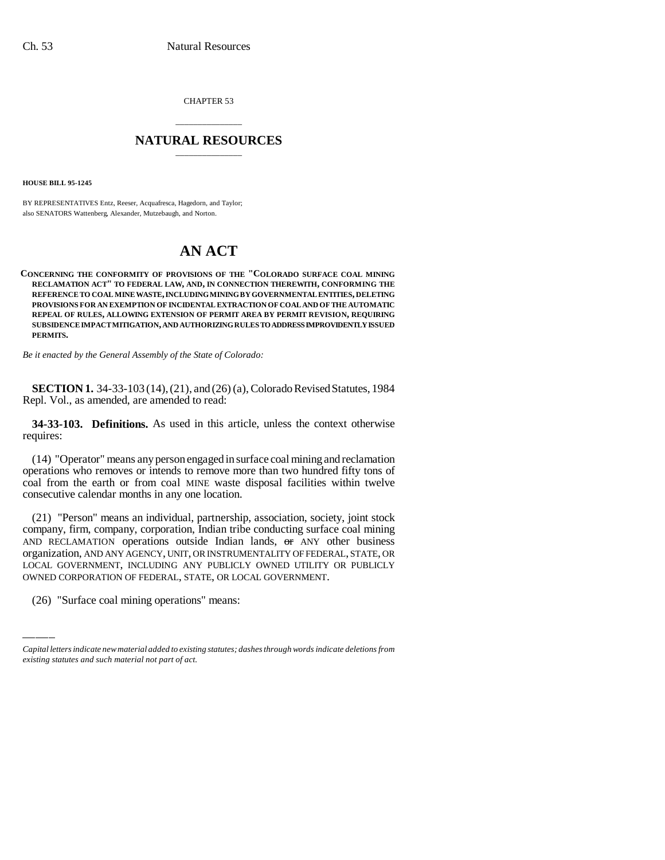CHAPTER 53

## \_\_\_\_\_\_\_\_\_\_\_\_\_\_\_ **NATURAL RESOURCES** \_\_\_\_\_\_\_\_\_\_\_\_\_\_\_

**HOUSE BILL 95-1245**

BY REPRESENTATIVES Entz, Reeser, Acquafresca, Hagedorn, and Taylor; also SENATORS Wattenberg, Alexander, Mutzebaugh, and Norton.

## **AN ACT**

**CONCERNING THE CONFORMITY OF PROVISIONS OF THE "COLORADO SURFACE COAL MINING RECLAMATION ACT" TO FEDERAL LAW, AND, IN CONNECTION THEREWITH, CONFORMING THE REFERENCE TO COAL MINE WASTE, INCLUDING MINING BY GOVERNMENTAL ENTITIES, DELETING PROVISIONS FOR AN EXEMPTION OF INCIDENTAL EXTRACTION OF COAL AND OF THE AUTOMATIC REPEAL OF RULES, ALLOWING EXTENSION OF PERMIT AREA BY PERMIT REVISION, REQUIRING SUBSIDENCE IMPACT MITIGATION, AND AUTHORIZING RULES TO ADDRESS IMPROVIDENTLY ISSUED PERMITS.**

*Be it enacted by the General Assembly of the State of Colorado:*

**SECTION 1.** 34-33-103 (14), (21), and (26) (a), Colorado Revised Statutes, 1984 Repl. Vol., as amended, are amended to read:

**34-33-103. Definitions.** As used in this article, unless the context otherwise requires:

(14) "Operator" means any person engaged in surface coal mining and reclamation operations who removes or intends to remove more than two hundred fifty tons of coal from the earth or from coal MINE waste disposal facilities within twelve consecutive calendar months in any one location.

organization, AND ANY AGENCY, UNIT, OR INSTRUMENTALITY OF FEDERAL, STATE, OR (21) "Person" means an individual, partnership, association, society, joint stock company, firm, company, corporation, Indian tribe conducting surface coal mining AND RECLAMATION operations outside Indian lands,  $\Theta$  any other business LOCAL GOVERNMENT, INCLUDING ANY PUBLICLY OWNED UTILITY OR PUBLICLY OWNED CORPORATION OF FEDERAL, STATE, OR LOCAL GOVERNMENT.

(26) "Surface coal mining operations" means:

*Capital letters indicate new material added to existing statutes; dashes through words indicate deletions from existing statutes and such material not part of act.*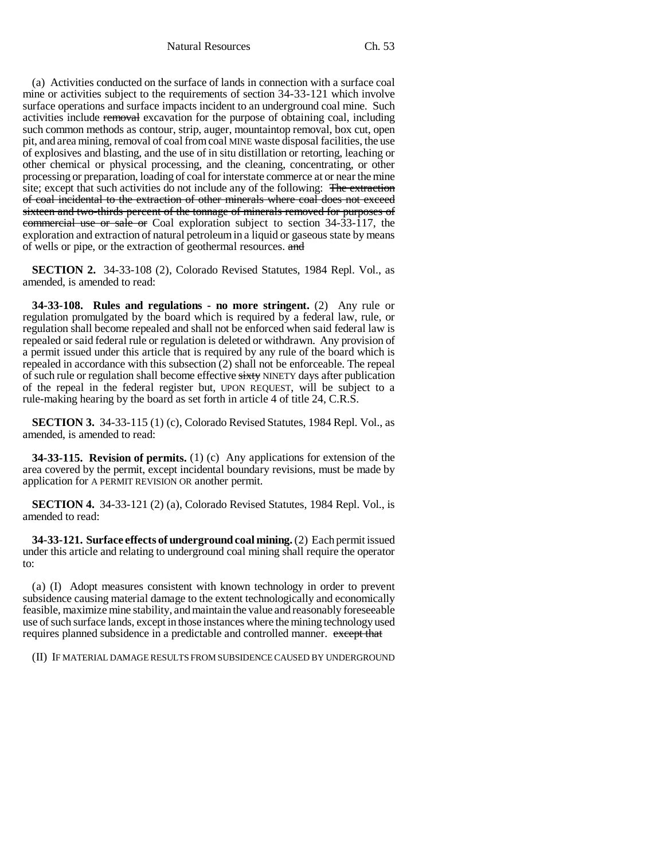Natural Resources Ch. 53

(a) Activities conducted on the surface of lands in connection with a surface coal mine or activities subject to the requirements of section 34-33-121 which involve surface operations and surface impacts incident to an underground coal mine. Such activities include removal excavation for the purpose of obtaining coal, including such common methods as contour, strip, auger, mountaintop removal, box cut, open pit, and area mining, removal of coal from coal MINE waste disposal facilities, the use of explosives and blasting, and the use of in situ distillation or retorting, leaching or other chemical or physical processing, and the cleaning, concentrating, or other processing or preparation, loading of coal for interstate commerce at or near the mine site; except that such activities do not include any of the following: The extraction of coal incidental to the extraction of other minerals where coal does not exceed sixteen and two-thirds percent of the tonnage of minerals removed for purposes of commercial use or sale or Coal exploration subject to section 34-33-117, the exploration and extraction of natural petroleum in a liquid or gaseous state by means of wells or pipe, or the extraction of geothermal resources. and

**SECTION 2.** 34-33-108 (2), Colorado Revised Statutes, 1984 Repl. Vol., as amended, is amended to read:

**34-33-108. Rules and regulations - no more stringent.** (2) Any rule or regulation promulgated by the board which is required by a federal law, rule, or regulation shall become repealed and shall not be enforced when said federal law is repealed or said federal rule or regulation is deleted or withdrawn. Any provision of a permit issued under this article that is required by any rule of the board which is repealed in accordance with this subsection (2) shall not be enforceable. The repeal of such rule or regulation shall become effective sixty NINETY days after publication of the repeal in the federal register but, UPON REQUEST, will be subject to a rule-making hearing by the board as set forth in article 4 of title 24, C.R.S.

**SECTION 3.** 34-33-115 (1) (c), Colorado Revised Statutes, 1984 Repl. Vol., as amended, is amended to read:

**34-33-115. Revision of permits.** (1) (c) Any applications for extension of the area covered by the permit, except incidental boundary revisions, must be made by application for A PERMIT REVISION OR another permit.

**SECTION 4.** 34-33-121 (2) (a), Colorado Revised Statutes, 1984 Repl. Vol., is amended to read:

**34-33-121. Surface effects of underground coal mining.** (2) Each permit issued under this article and relating to underground coal mining shall require the operator to:

(a) (I) Adopt measures consistent with known technology in order to prevent subsidence causing material damage to the extent technologically and economically feasible, maximize mine stability, and maintain the value and reasonably foreseeable use of such surface lands, except in those instances where the mining technology used requires planned subsidence in a predictable and controlled manner. except that

(II) IF MATERIAL DAMAGE RESULTS FROM SUBSIDENCE CAUSED BY UNDERGROUND